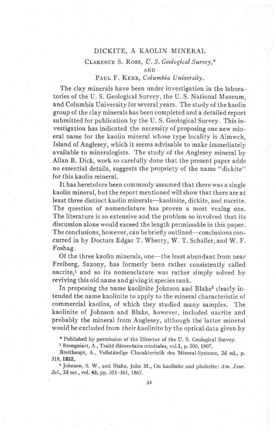### DICKITE, A KAOLIN MINERAL

# CLARENCE S. Ross, U.S. Geological Survey,\* AND

# PAUL F. KERR, Columbia University.

The clay minerals have been under investigation in the laboratories of the U. S. Geological Survey, the U. S. National Museum, and Columbia University for several years. The study of the kaolin group of the clay minerals has been completed and a detailed report submitted for publication by the U. S. Geological Survey. This investigation has indicated the necessity of proposing one new mineral name for the kaolin mineral whose type locality is Almwch, Island of Anglesey, which it seems advisable to make immediately available to mineralogists. The study of the Anglesey mineral by Allan B. Dick, work so carefully done that the present paper adds no essential details, suggests the propriety of the name "dickite" for this kaolin mineral.

It has heretofore been commonly assumed that there was a single kaolin mineral, but the report mentioned will show that there are at least three distinct kaolin minerals-kaolinite, dickite, and nacrite. The question of nomenclature has proven a most vexing one. The literature is so extensive and the problem so involved that its discussion alone would exceed the length permissable in this paper. The conclusions, however, can be briefly outlined—conclusions concurred in by Doctors Edgar T. Wherry, W. T. Schaller, and W. F. Foshag.

Of the three kaolin minerals, one—the least abundant from near Freiberg, Saxony, has formerly been rather consistently called nacrite,<sup>1</sup> and so its nomenclature was rather simply solved by reviving this old name and giving it species rank.

In proposing the name kaolinite Johnson and Blake<sup>2</sup> clearly intended the name kaolinite to apply to the mineral characteristic of commercial kaolins, of which they studied many samples. The kaolinite of Johnson and Blake, however, included nacrite and probably the mineral from Anglesey, although the latter mineral would be excluded from their kaolinite by the optical data given by

\* Published by permission of the Director of the U. S. Geological Survey.

<sup>1</sup> Brongniart, A., Traité élémentaire minérales, vol.1, p. 506, 1807.

Breithaupt, A., Vollständige Charakteristik des Mineral-Systems, 2d ed., p. 318,1832,

<sup>2</sup> Johnson, S. W., and Blake, John M., On kaolinite and pholerite: Am. Jour. Sci., 2d ser., vol. 43, pp. 351-361, 1867.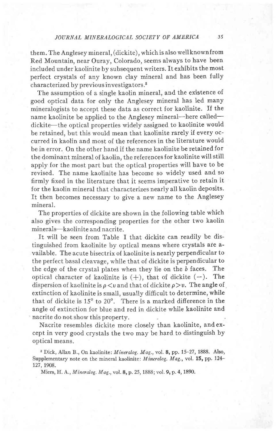## JOURNAL MINERALOGICAL SOCIETY OF AMERICA 35

them. The Anglesey mineral, (dickite), which is also well known from Red Mountain, near Ouray, Colorado, seems always to have been included under kaolinite by subsequent writers. It exhibits the most perfect crystals of any known clay mineral and has been fully characterized by previous investigators.<sup>3</sup>

The assumption of a single kaolin mineral, and the existence of good optical data for only the Anglesey mineral has led many mineralogists to accept these data as correct for kaolinite. If the name kaolinite be applied to the Anglesey mineral—here called dickite—the optical properties widely assigned to kaolinite would be retained, but this would mean that kaolinite rarely if every occurred in kaolin and most of the references in the literature would be in error. On the other hand if the name kaolinite be retained for the dominant mineral of kaolin, the references for kaolinite will still apply for the most part but the optical properties will have to be revised. The name kaolinite has become so widely used and so firmly fixed in the literature that it seems imperative to retain it for the kaolin mineral that characterizes nearly all kaolin deposits. It then becomes necessary to give a new name to the Anglesey mineral.

The properties of dickite are shown in the following table which also gives the corresponding properties for the other two kaolin minerals-kaolinite and nacrite.

It will be seen from Table I that dickite can readily be distinguished from kaolinite by optical means where crystals are available. The acute bisectrix of kaolinite is nearly perpendicular to the perfect basal cleavage, while that of dickite is perpendicular to the edge of the crystal plates when they lie on the b faces. The optical character of kaolinite is  $(+)$ , that of dickite  $(-)$ . The dispersion of kaolinite is  $\rho < v$  and that of dickite  $\rho > v$ . The angle of  $\phi$ extinction of kaolinite is small, usually difficult to determine, while that of dickite is  $15^{\circ}$  to  $20^{\circ}$ . There is a marked difference in the angle of extinction for blue and red in dickite while kaolinite and nacrite do not show this property.

Nacrite resembles dickite more closely than kaolinite, and except in very good crystals the two may be hard to distinguish by optical means.

<sup>3</sup> Dick, Allan B., On kaolinite: *Mineralog. Mag.*, vol. 8, pp. 15-27, 1888. Also, Supplementary note on the mineral kaolinite: *Mineralog. Mag.*, vol. 15, pp. 124-127, 1908.

Miers, H. A., Mineralog. Mag., vo1.8, p. 25, 1888; vol. 9, p. 4, 1890.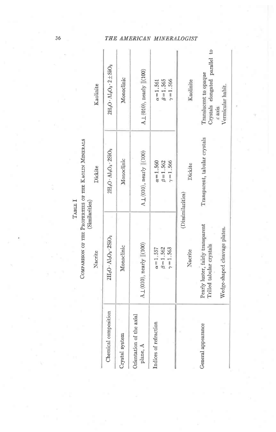# COMPARISON OF THE PROFERTIES OF THE KAOLIN MINERALS (Similarities)

|                                      | Nacrite                                                                | Dickite                                                 | Kaolinite                                               |
|--------------------------------------|------------------------------------------------------------------------|---------------------------------------------------------|---------------------------------------------------------|
| Chemical composition                 | 2H <sub>2</sub> O + Al <sub>2</sub> O <sub>3</sub> + 2SiO <sub>2</sub> | $2H_2O \cdot Al_2O_3 \cdot 2SiO_2$                      | $2H_2O \cdot Al_2O_3 \cdot 2 \pm 5iO_2$                 |
| Crystal system                       | Monoclinic                                                             | Monoclinic                                              | Monoclinic                                              |
| Orientation of the axial<br>plane, A | $\mathrm{A}\bot(010)$ , nearly $\parallel(100)$                        | $A \perp (010)$ , nearly $  (100)$                      | A 1 (010), nearly   (100)                               |
| Indices of refraction                | $\gamma = 1.563$<br>$\beta = 1.562$<br>$\alpha = 1.557$                | $\alpha = 1.560$<br>$\gamma = 1.566$<br>$\beta = 1.562$ | $\gamma = 1.566$<br>$\beta = 1.565$<br>$\alpha = 1.561$ |
|                                      | Nacrite                                                                | Dickite<br>(Dissimilarities)                            | Kaolinite                                               |
| General appearance                   | Pearly luster, fairly transparent<br>Trilled tabular crystals          | Transparent, tabular crystals                           | Crystals elongated parallel<br>Translucent to opaque    |
|                                      | Wedge-shaped cleavage plates.                                          |                                                         | Vermicular habit.<br>$c$ axis                           |

# THE AMERICAN MINERALOGIST

ľ

 $\mathfrak{c}_0$ 

 $36$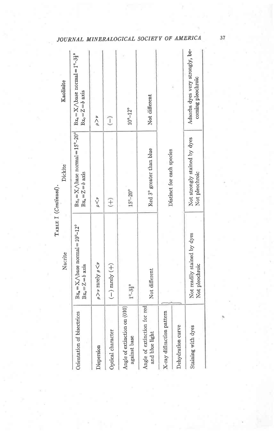|                                               | Nacrite                                                                                                                                | Dickite<br>TABLE I (Continued).                                                | Kaolinite                                                                           |
|-----------------------------------------------|----------------------------------------------------------------------------------------------------------------------------------------|--------------------------------------------------------------------------------|-------------------------------------------------------------------------------------|
| Orientation of bisectrices                    | $\textsc{B}\mathbf{x}_{\mathtt{a}}\!=\!\mathbf{X}\!\bigwedge\!\text{base normal}=10^{\circ}\text{--}12^{\circ}$<br>$Bx_0 = Z = b$ axis | $Bx_0 = X/\text{base normal} = 15^{\circ} - 20^{\circ}$<br>$Bx_a = Z = b$ axis | $Bx_a = X/\text{base normal} = 1^\circ - 3\frac{1}{2}^\circ$<br>$Bx_0 = Z = b$ axis |
| Dispersion                                    | $\rho > \nu$ rarely $\rho < \nu$                                                                                                       | $\mathbf{p} < \mathbf{p}$                                                      | $\rho > \nu$                                                                        |
| Optical character                             | $(-)$ rarely $(+)$                                                                                                                     | $\widehat{t}$                                                                  | J                                                                                   |
| Angle of extinction on (010)<br>against base  | $1^{\circ}-3^{\circ}_{2}$                                                                                                              | $15^{\circ} - 20^{\circ}$                                                      | $10^{\circ} - 12^{\circ}$                                                           |
| Angle of extinction for red<br>and blue light | Not different                                                                                                                          | Red 3° greater than blue                                                       | Not different                                                                       |
| X-ray diffraction pattern                     |                                                                                                                                        | Distinct for each species                                                      |                                                                                     |
| Dehydration curve                             |                                                                                                                                        |                                                                                |                                                                                     |
| Staining with dyes                            | Not readily stained by dyes<br>Not pleochroic                                                                                          | Not strongly stained by dyes<br>Not pleochroic                                 | Adsorbs dyes very strongly, be-<br>coming pleochroic                                |
|                                               |                                                                                                                                        |                                                                                |                                                                                     |

# JOURNAL MINERALOGICAL SOCIETY OF AMERICA

 $37$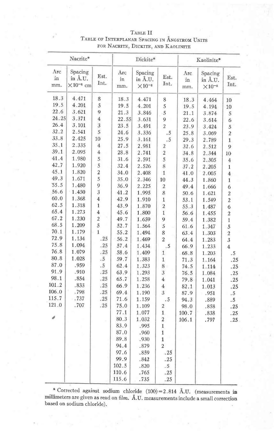| Nacrite*         |                                           |                         | Dickite*         |                                        |                         | Kaolinite*       |                                        |                         |
|------------------|-------------------------------------------|-------------------------|------------------|----------------------------------------|-------------------------|------------------|----------------------------------------|-------------------------|
| Arc<br>in<br>mm. | Spacing<br>in Å.U.<br>$\times 10^{-8}$ cm | Est.<br>Int.            | Arc<br>in<br>mm. | Spacing<br>in A.U.<br>$\times 10^{-8}$ | Est.<br>Int.            | Arc<br>in<br>mm. | Spacing<br>in Å.U.<br>$\times 10^{-8}$ | Est.<br>Int.            |
| 18.3             | 4.471                                     | 8                       | 18.3             | 4.471                                  | 8                       | 18.3             | 4.464                                  | 10                      |
| 19.5             | 4.201                                     | 5                       | 19.5             | 4.201                                  | 5                       | 19.5             | 4.194                                  | $10\,$                  |
| 22.6             | 3.621                                     | 9                       | 21.3             | 3.846                                  | 5                       | 21.1             | 3.874                                  | 5                       |
| 24.25            | 3.371                                     | $\overline{4}$          | 22.55            | 3.631                                  | 9                       | 22.6             | 3.614                                  | 6                       |
| 26.4             | 3.101                                     | $\overline{3}$          | 23.5             | 3.491                                  | $\overline{2}$          | 23.9             | 3.424                                  | 5                       |
| 32.2             | 2.541                                     | 5                       | 24.6             | 3.336                                  | .5                      | 25.8             | 3.069                                  | $\overline{2}$          |
| 33.8             | 2.425                                     | 10                      | 25.9             | 3.161                                  | .5                      | 29.3             | 2.789                                  | $\mathbf{1}$            |
| 35.1             | 2.335                                     | $\overline{4}$          | 27.5             | 2.981                                  | $\overline{2}$          | 32.6             | 2.512                                  | 9                       |
| 39.1             | 2.095                                     | $\overline{4}$          | 28.8             | 2.741                                  | $\overline{2}$          | 34.8             | 2.344                                  | 10                      |
| 41.4             | 1.980                                     | 5                       | 31.6             | 2.591                                  | $\overline{5}$          | 35.6             | 2.305                                  | $\overline{4}$          |
| 42.7             | 1.920                                     | 5                       | 32.4             | 2.526                                  | 8                       | 37.2             | 2.205                                  | $\mathbf{1}$            |
| 45.1             | 1.820                                     | $\overline{c}$          | 34.0             | 2.408                                  | $\mathbf{1}$            | 41.0             | 2.005                                  | $\overline{4}$          |
| 49.3             | 1.671                                     | 5                       | 35.0             | 2.346                                  | 10                      | 44.3             | 1.860                                  | $\mathbf{1}$            |
| 55.5             | 1.480                                     | 9                       | 36.9             | 2.225                                  | $\overline{\mathbf{c}}$ | 49.4             | 1.666                                  | 6                       |
| 56.6             | 1.450                                     | $\overline{\mathbf{3}}$ | 41.2             | 1.995                                  | 8                       | 50.6             | 1.621                                  | $\overline{c}$          |
| 60.0             | 1.368                                     | $\overline{4}$          | 42.9             | 1.910                                  | $\mathbf{1}$            | 53.1             | 1.549                                  | $\overline{c}$          |
| 62.5             | 1.318                                     | $\mathbf{1}$            | 43.9             | 1.870                                  | $\overline{\mathbf{c}}$ | 55.3             | 1.487                                  | 6                       |
| 65.4             | 1.273                                     | 4                       | 45.6             | 1.800                                  | $\mathbf{1}$            | 56.6             | 1.455                                  | $\overline{\mathbf{c}}$ |
| 67.2             | 1.230                                     | $\overline{c}$          | 49.7             | 1.659                                  | 9                       | 59.4             | 1.382                                  | $\mathbf{1}$            |
| 68.5             | 1.209                                     | 5                       | 52.7             | 1.564                                  | 5                       | 61.6             | 1.347                                  | 5                       |
| 70.1             | 1.179                                     | $\mathbf{1}$            | 55.2             | 1.494                                  | 8                       | 63.4             | 1.303                                  | $\overline{a}$          |
| 72.9             | 1.134                                     | .25                     | 56.2             | 1.469                                  | $\overline{2}$          | 64.4             | 1.283                                  | $\overline{3}$          |
| 75.8             | 1.094                                     | .25                     | 57.4             | 1.434                                  | $\cdot$ 5               | 66.9             | 1.233                                  | $\overline{4}$          |
| 76.8             | 1.079                                     | .25                     | 58.6             | 1.409                                  | 1                       | 68.8             | 1.203                                  | .5                      |
| 80.8             | 1.028                                     | .5                      | 59.7             | 1.383                                  | $\mathbf{1}$            | 71.3             | 1.164                                  | .25                     |
| 87.0             | .959                                      | .5                      | 62.4             | 1.323                                  | 8 <sup>1</sup>          | 74.5             | 1.114                                  | .25                     |
| 91.9             | .910                                      | .25                     | 63.9             | 1.293                                  | 3                       | 76.5             | 1.084                                  | .25                     |
| 98.1             | .854                                      | .25                     | 65.7             | 1.258                                  | $\overline{4}$          | 79.8             | 1.041                                  | .25                     |
| 101.2            | .833                                      | .25                     | 66.9             | 1.236                                  | $\overline{\mathbf{4}}$ | 82.1             | 1.013                                  | .25                     |
| 106.0            | .798                                      | .25                     | 69.4             | 1.190                                  | 3                       | 87.9             | .951                                   | .5                      |
| 115.7            | .737                                      | .25                     | 71.6             | 1.159                                  | .5                      | 94.3             | .889                                   | .5                      |
| 121.0            | .707                                      | .25                     | 75.0             | 1.109                                  | $\overline{2}$          | 98.0             | .858                                   | .25                     |
|                  |                                           |                         | 77.1             | 1.077                                  | $\mathbf{1}$            | 100.7            | .838                                   | .25                     |
|                  |                                           |                         | 80.3             | 1.032                                  | $\overline{c}$          | 106.1            | .797                                   | .25                     |
|                  |                                           |                         | 83.9             | .995                                   | $\mathbf 1$             |                  |                                        |                         |
|                  |                                           |                         | 87.0             | .960                                   | $\mathbf{1}$            |                  |                                        |                         |
|                  |                                           |                         | 89.8             | .930                                   | $\mathbf{1}$            |                  |                                        |                         |
|                  |                                           |                         | 94.4             | .879                                   | $\overline{2}$          |                  |                                        |                         |
|                  |                                           |                         | 97.6             | .859                                   | .25                     |                  |                                        |                         |
|                  |                                           |                         | 99.9             | .842                                   | .25                     |                  |                                        |                         |
|                  |                                           |                         | 102.5            | .820                                   | $\overline{.5}$         |                  |                                        |                         |
|                  |                                           |                         | 110.6            | .765                                   | .25                     |                  |                                        |                         |
|                  |                                           |                         | 115.6            | .735                                   | .25                     |                  |                                        |                         |

## $\rm TABLE\ II$ TABLE OF INTERPLANAR SPACING IN ÅNGSTROM UNITS FOR NACRITE, DICKITE, AND KAOLINITE

\* Corrected against sodium chloride  $(100) = 2.814$  Å.U. (measurements in millimeters are given as read on film. Å.U. measurements include a small correction based on sodium chloride).